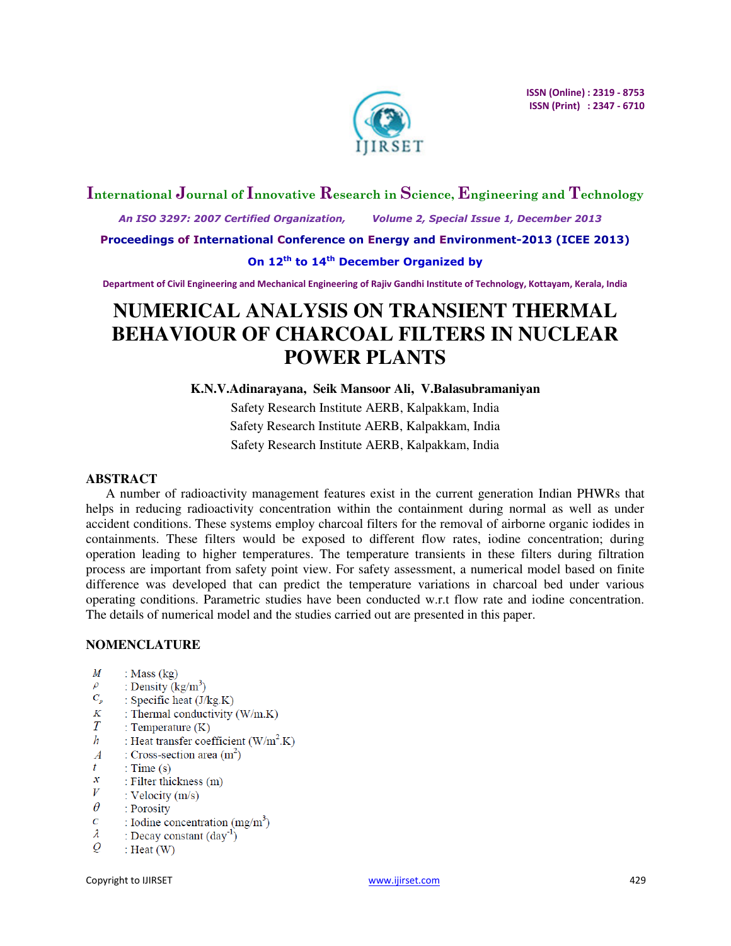

# **International Journal of Innovative Research in Science, Engineering and Technology**

 *An ISO 3297: 2007 Certified Organization, Volume 2, Special Issue 1, December 2013* 

**Proceedings of International Conference on Energy and Environment-2013 (ICEE 2013)** 

# **On 12th to 14th December Organized by**

**Department of Civil Engineering and Mechanical Engineering of Rajiv Gandhi Institute of Technology, Kottayam, Kerala, India** 

# **NUMERICAL ANALYSIS ON TRANSIENT THERMAL BEHAVIOUR OF CHARCOAL FILTERS IN NUCLEAR POWER PLANTS**

**K.N.V.Adinarayana, Seik Mansoor Ali, V.Balasubramaniyan**

Safety Research Institute AERB, Kalpakkam, India Safety Research Institute AERB, Kalpakkam, India Safety Research Institute AERB, Kalpakkam, India

# **ABSTRACT**

A number of radioactivity management features exist in the current generation Indian PHWRs that helps in reducing radioactivity concentration within the containment during normal as well as under accident conditions. These systems employ charcoal filters for the removal of airborne organic iodides in containments. These filters would be exposed to different flow rates, iodine concentration; during operation leading to higher temperatures. The temperature transients in these filters during filtration process are important from safety point view. For safety assessment, a numerical model based on finite difference was developed that can predict the temperature variations in charcoal bed under various operating conditions. Parametric studies have been conducted w.r.t flow rate and iodine concentration. The details of numerical model and the studies carried out are presented in this paper.

# **NOMENCLATURE**

- M : Mass  $(kg)$
- $\rho$ : Density  $(kg/m^3)$
- $C_p$ : Specific heat  $(J/kg.K)$
- $K$ : Thermal conductivity (W/m.K)
- $\overline{T}$ : Temperature  $(K)$
- $\boldsymbol{h}$ : Heat transfer coefficient  $(W/m^2.K)$
- $\boldsymbol{A}$ : Cross-section area  $(m<sup>2</sup>)$
- $\mathbf{f}$ : Time  $(s)$
- $\mathcal{X}$ : Filter thickness (m)
- V : Velocity  $(m/s)$
- $\theta$ : Porosity
- $\overline{C}$ : Iodine concentration  $(mg/m<sup>3</sup>)$
- $\lambda$ : Decay constant  $(\text{day}^{-1})$
- $\varrho$ : Heat  $(W)$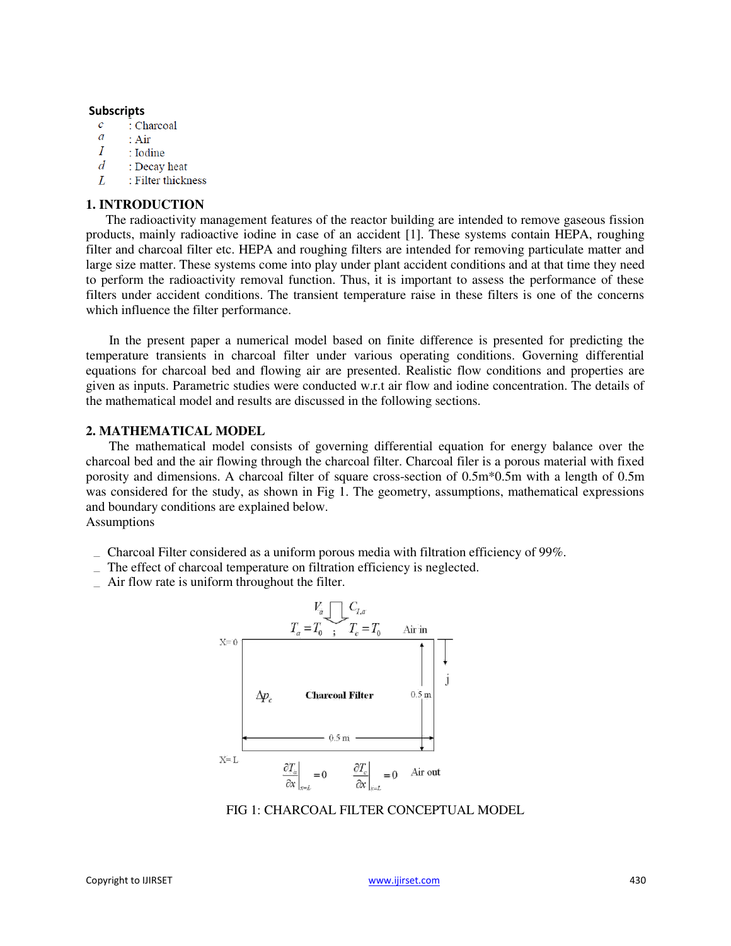### **Subscripts**

- $\overline{c}$ : Charcoal
- $\overline{a}$  $: Air$
- Ι : Iodine
- $\overline{d}$ : Decay heat
- L : Filter thickness

# **1. INTRODUCTION**

The radioactivity management features of the reactor building are intended to remove gaseous fission products, mainly radioactive iodine in case of an accident [1]. These systems contain HEPA, roughing filter and charcoal filter etc. HEPA and roughing filters are intended for removing particulate matter and large size matter. These systems come into play under plant accident conditions and at that time they need to perform the radioactivity removal function. Thus, it is important to assess the performance of these filters under accident conditions. The transient temperature raise in these filters is one of the concerns which influence the filter performance.

In the present paper a numerical model based on finite difference is presented for predicting the temperature transients in charcoal filter under various operating conditions. Governing differential equations for charcoal bed and flowing air are presented. Realistic flow conditions and properties are given as inputs. Parametric studies were conducted w.r.t air flow and iodine concentration. The details of the mathematical model and results are discussed in the following sections.

## **2. MATHEMATICAL MODEL**

The mathematical model consists of governing differential equation for energy balance over the charcoal bed and the air flowing through the charcoal filter. Charcoal filer is a porous material with fixed porosity and dimensions. A charcoal filter of square cross-section of 0.5m\*0.5m with a length of 0.5m was considered for the study, as shown in Fig 1. The geometry, assumptions, mathematical expressions and boundary conditions are explained below.

Assumptions

- Charcoal Filter considered as a uniform porous media with filtration efficiency of 99%.
- The effect of charcoal temperature on filtration efficiency is neglected.
- $\overline{\phantom{a}}$  Air flow rate is uniform throughout the filter.



FIG 1: CHARCOAL FILTER CONCEPTUAL MODEL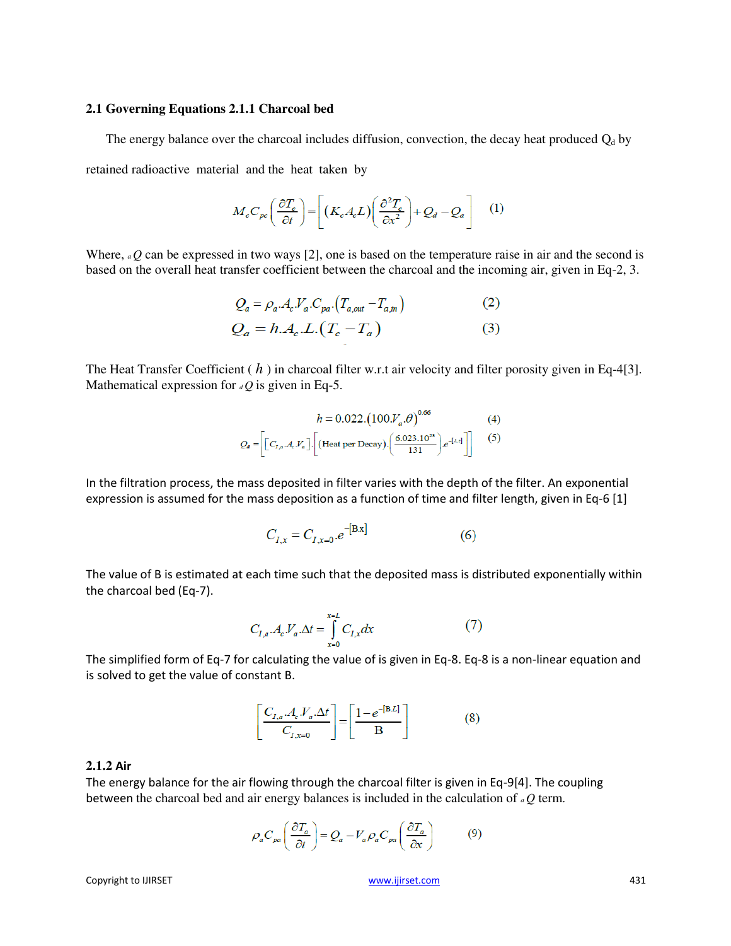### **2.1 Governing Equations 2.1.1 Charcoal bed**

The energy balance over the charcoal includes diffusion, convection, the decay heat produced  $Q_d$  by retained radioactive material and the heat taken by

$$
M_c C_{pc} \left(\frac{\partial T_c}{\partial t}\right) = \left[ \left(K_c A_c L \right) \left(\frac{\partial^2 T_c}{\partial x^2}\right) + Q_d - Q_a \right] \tag{1}
$$

Where, *a Q* can be expressed in two ways [2], one is based on the temperature raise in air and the second is based on the overall heat transfer coefficient between the charcoal and the incoming air, given in Eq-2, 3.

$$
Q_a = \rho_a.A_c.V_a.C_{pa} \cdot (T_{a,out} - T_{a,in})
$$
\n
$$
Q_a = h.A_c.L. (T_c - T_a)
$$
\n(3)

The Heat Transfer Coefficient (*h*) in charcoal filter w.r.t air velocity and filter porosity given in Eq-4[3]. Mathematical expression for  $dQ$  is given in Eq-5.

$$
h = 0.022.\left(100.V_a.\theta\right)^{0.66} \tag{4}
$$

$$
Q_a = \left[ \left[ C_{I,a} . A_c . V_a \right] . \left[ \left( \text{Heat per Decay} \right) . \left( \frac{6.023.10^{23}}{131} \right) e^{-[A.t]} \right] \right] \tag{5}
$$

In the filtration process, the mass deposited in filter varies with the depth of the filter. An exponential expression is assumed for the mass deposition as a function of time and filter length, given in Eq-6 [1]

 $\mathbb{R}^{\mathbb{Z}}$ 

$$
C_{I,x} = C_{I,x=0}.e^{-[B.x]}
$$
 (6)

The value of B is estimated at each time such that the deposited mass is distributed exponentially within the charcoal bed (Eq-7).

$$
C_{I,a} \cdot A_c \cdot V_a \cdot \Delta t = \int_{x=0}^{x=L} C_{I,x} dx \tag{7}
$$

The simplified form of Eq-7 for calculating the value of is given in Eq-8. Eq-8 is a non-linear equation and is solved to get the value of constant B.

$$
\left[\frac{C_{I,a} A_c V_a \Delta t}{C_{I,x=0}}\right] = \left[\frac{1 - e^{-\left[B L\right]}}{B}\right]
$$
 (8)

### **2.1.2 Air**

The energy balance for the air flowing through the charcoal filter is given in Eq-9[4]. The coupling between the charcoal bed and air energy balances is included in the calculation of *a Q* term.

$$
\rho_a C_{pa} \left( \frac{\partial T_a}{\partial t} \right) = Q_a - V_a \rho_a C_{pa} \left( \frac{\partial T_a}{\partial x} \right) \tag{9}
$$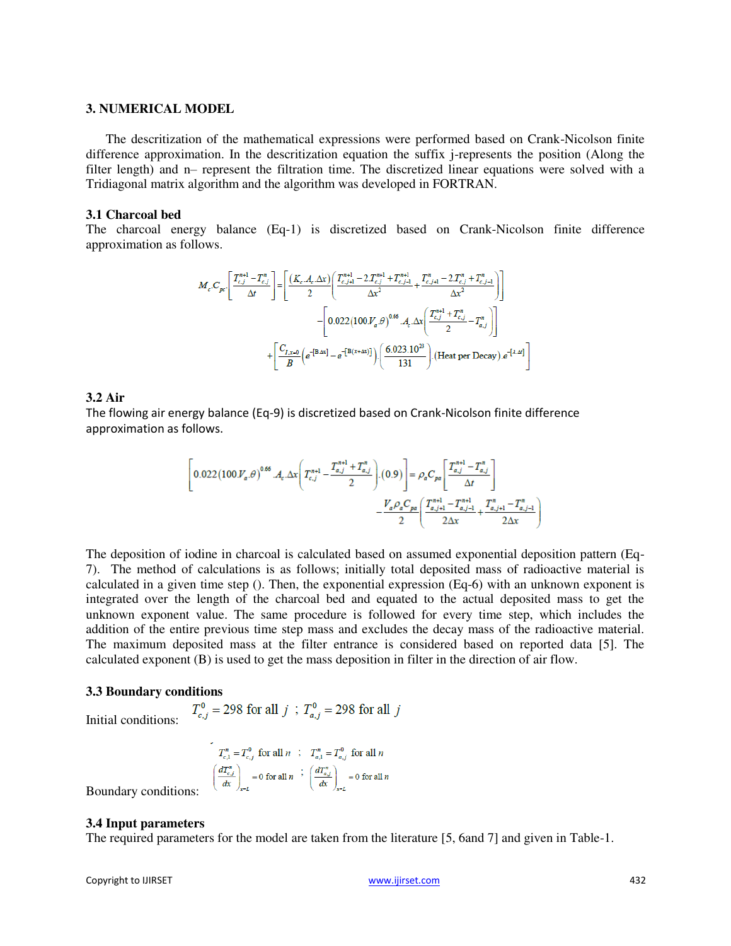### **3. NUMERICAL MODEL**

The descritization of the mathematical expressions were performed based on Crank-Nicolson finite difference approximation. In the descritization equation the suffix j-represents the position (Along the filter length) and n– represent the filtration time. The discretized linear equations were solved with a Tridiagonal matrix algorithm and the algorithm was developed in FORTRAN.

### **3.1 Charcoal bed**

The charcoal energy balance (Eq-1) is discretized based on Crank-Nicolson finite difference approximation as follows.

$$
M_c \cdot C_{pc} \cdot \left[ \frac{T_{c,j}^{n+1} - T_{c,j}^n}{\Delta t} \right] = \left[ \frac{(K_c \cdot A_c \cdot \Delta x)}{2} \left( \frac{T_{c,j+1}^{n+1} - 2T_{c,j}^{n+1} + T_{c,j-1}^{n+1}}{\Delta x^2} + \frac{T_{c,j+1}^n - 2T_{c,j}^n + T_{c,j-1}^n}{\Delta x^2} \right) \right]
$$
  

$$
- \left[ 0.022 (100 V_a \cdot \theta)^{0.66} \cdot A_c \cdot \Delta x \left( \frac{T_{c,j}^{n+1} + T_{c,j}^n}{2} - T_{a,j}^n \right) \right]
$$
  

$$
+ \left[ \frac{C_{I,x=0}}{B} \left( e^{-\left[ B \cdot \Delta x \right]} - e^{-\left[ B \cdot (x + \Delta x) \right]} \right) \cdot \left( \frac{6.023 \cdot 10^{23}}{131} \right) \cdot \left( \text{Heat per Decay} \right) e^{-\left[ 1.4x \right]}
$$

# **3.2 Air**

The flowing air energy balance (Eq-9) is discretized based on Crank-Nicolson finite difference approximation as follows.

$$
\left[0.022(100\text{J\textit{V}}_a.\theta)^{0.66}\text{.}A_c.\Delta x\left(T_{c,j}^{n+1}-\frac{T_{a,j}^{n+1}+T_{a,j}^n}{2}\right).(0.9)\right]=\rho_aC_{pa}\left[\frac{T_{a,j}^{n+1}-T_{a,j}^n}{\Delta t}\right]
$$

$$
-\frac{V_a\rho_aC_{pa}}{2}\left(\frac{T_{a,j+1}^{n+1}-T_{a,j-1}^{n+1}}{2\Delta x}+\frac{T_{a,j+1}^n-T_{a,j-1}^n}{2\Delta x}\right)
$$

The deposition of iodine in charcoal is calculated based on assumed exponential deposition pattern (Eq-7). The method of calculations is as follows; initially total deposited mass of radioactive material is calculated in a given time step (). Then, the exponential expression (Eq-6) with an unknown exponent is integrated over the length of the charcoal bed and equated to the actual deposited mass to get the unknown exponent value. The same procedure is followed for every time step, which includes the addition of the entire previous time step mass and excludes the decay mass of the radioactive material. The maximum deposited mass at the filter entrance is considered based on reported data [5]. The calculated exponent (B) is used to get the mass deposition in filter in the direction of air flow.

**3.3 Boundary conditions**<br> $T_{c,j}^0 = 298$  for all  $j$ ;  $T_{a,j}^0 = 298$  for all  $j$ Initial conditions:

$$
T_{c,1}^{n} = T_{c,j}^{0} \text{ for all } n \quad ; \quad T_{a,1}^{n} = T_{a,j}^{0} \text{ for all } n
$$

$$
\left(\frac{dT_{c,j}^{n}}{dx}\right)_{x=L} = 0 \text{ for all } n \quad ; \quad \left(\frac{dT_{a,j}^{n}}{dx}\right)_{x=L} = 0 \text{ for all } n
$$

Boundary conditions:

# **3.4 Input parameters**

The required parameters for the model are taken from the literature [5, 6and 7] and given in Table-1.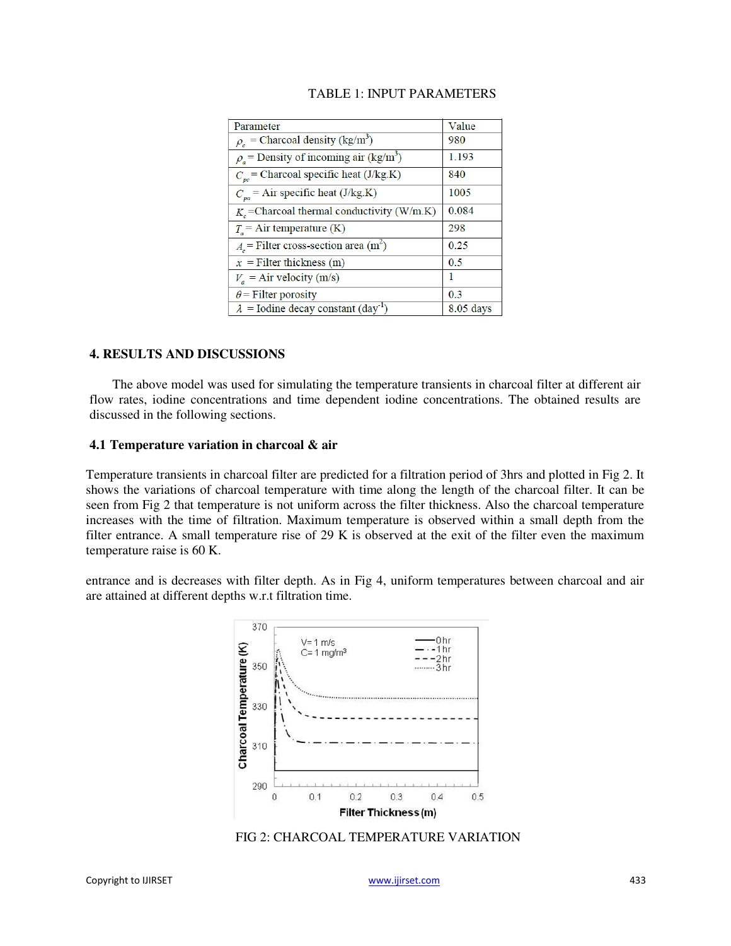| Parameter                                               | Value       |
|---------------------------------------------------------|-------------|
| $\rho_c$ = Charcoal density (kg/m <sup>3</sup> )        | 980         |
| $\rho_a$ = Density of incoming air (kg/m <sup>3</sup> ) | 1.193       |
| $C_{pc}$ = Charcoal specific heat (J/kg.K)              | 840         |
| $C_{pa}$ = Air specific heat (J/kg.K)                   | 1005        |
| $K_c$ =Charcoal thermal conductivity (W/m.K)            | 0.084       |
| $Ts$ = Air temperature (K)                              | 298         |
| $A_c$ = Filter cross-section area (m <sup>2</sup> )     | 0.25        |
| $x =$ Filter thickness (m)                              | 0.5         |
| $V_a$ = Air velocity (m/s)                              | 1           |
| $\theta$ = Filter porosity                              | 0.3         |
| $\lambda$ = Iodine decay constant (day <sup>-1</sup> )  | $8.05$ days |

# **4. RESULTS AND DISCUSSIONS**

The above model was used for simulating the temperature transients in charcoal filter at different air flow rates, iodine concentrations and time dependent iodine concentrations. The obtained results are discussed in the following sections.

# **4.1 Temperature variation in charcoal & air**

Temperature transients in charcoal filter are predicted for a filtration period of 3hrs and plotted in Fig 2. It shows the variations of charcoal temperature with time along the length of the charcoal filter. It can be seen from Fig 2 that temperature is not uniform across the filter thickness. Also the charcoal temperature increases with the time of filtration. Maximum temperature is observed within a small depth from the filter entrance. A small temperature rise of 29 K is observed at the exit of the filter even the maximum temperature raise is 60 K.

entrance and is decreases with filter depth. As in Fig 4, uniform temperatures between charcoal and air are attained at different depths w.r.t filtration time.



FIG 2: CHARCOAL TEMPERATURE VARIATION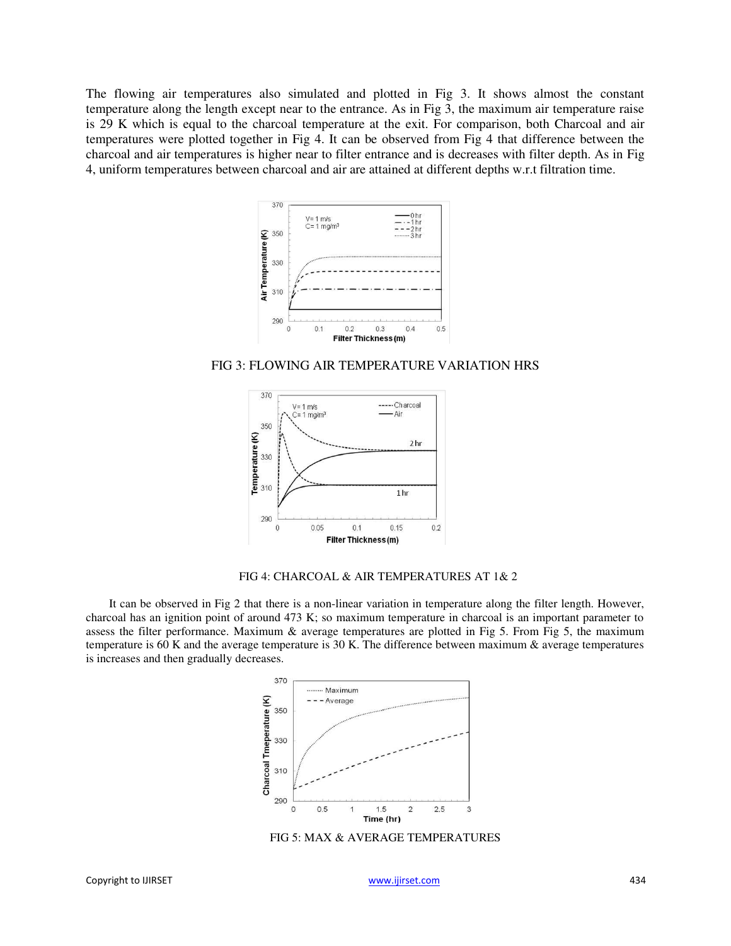The flowing air temperatures also simulated and plotted in Fig 3. It shows almost the constant temperature along the length except near to the entrance. As in Fig 3, the maximum air temperature raise is 29 K which is equal to the charcoal temperature at the exit. For comparison, both Charcoal and air temperatures were plotted together in Fig 4. It can be observed from Fig 4 that difference between the charcoal and air temperatures is higher near to filter entrance and is decreases with filter depth. As in Fig 4, uniform temperatures between charcoal and air are attained at different depths w.r.t filtration time.



FIG 3: FLOWING AIR TEMPERATURE VARIATION HRS



FIG 4: CHARCOAL & AIR TEMPERATURES AT 1& 2

It can be observed in Fig 2 that there is a non-linear variation in temperature along the filter length. However, charcoal has an ignition point of around 473 K; so maximum temperature in charcoal is an important parameter to assess the filter performance. Maximum & average temperatures are plotted in Fig 5. From Fig 5, the maximum temperature is 60 K and the average temperature is 30 K. The difference between maximum  $\&$  average temperatures is increases and then gradually decreases.



FIG 5: MAX & AVERAGE TEMPERATURES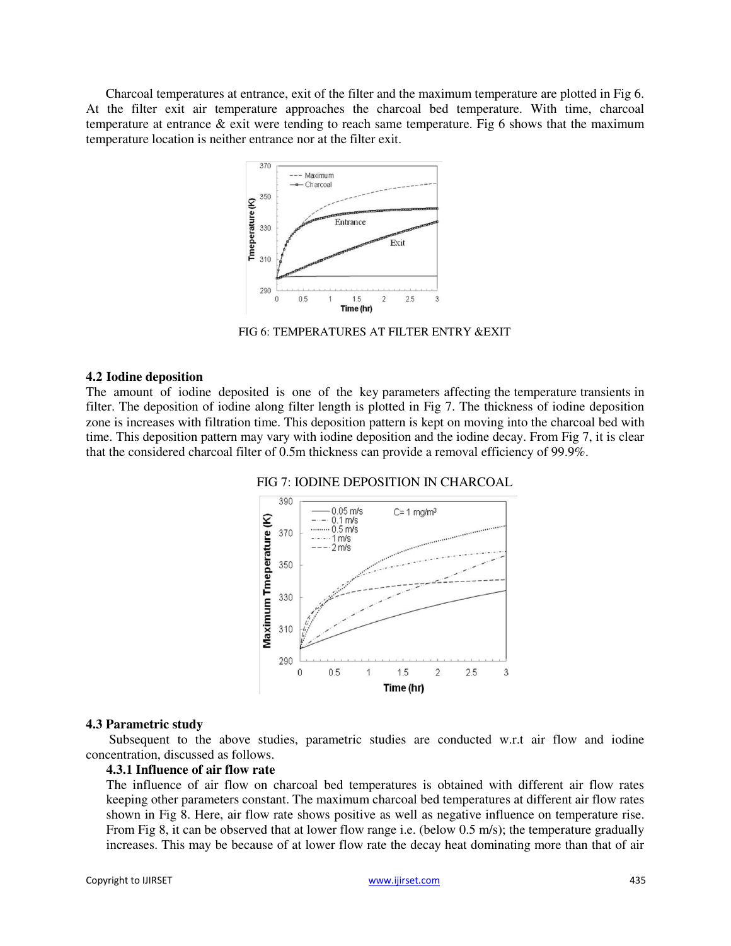Charcoal temperatures at entrance, exit of the filter and the maximum temperature are plotted in Fig 6. At the filter exit air temperature approaches the charcoal bed temperature. With time, charcoal temperature at entrance  $\&$  exit were tending to reach same temperature. Fig 6 shows that the maximum temperature location is neither entrance nor at the filter exit.



FIG 6: TEMPERATURES AT FILTER ENTRY &EXIT

# **4.2 Iodine deposition**

The amount of iodine deposited is one of the key parameters affecting the temperature transients in filter. The deposition of iodine along filter length is plotted in Fig 7. The thickness of iodine deposition zone is increases with filtration time. This deposition pattern is kept on moving into the charcoal bed with time. This deposition pattern may vary with iodine deposition and the iodine decay. From Fig 7, it is clear that the considered charcoal filter of 0.5m thickness can provide a removal efficiency of 99.9%.





### **4.3 Parametric study**

Subsequent to the above studies, parametric studies are conducted w.r.t air flow and iodine concentration, discussed as follows.

# **4.3.1 Influence of air flow rate**

The influence of air flow on charcoal bed temperatures is obtained with different air flow rates keeping other parameters constant. The maximum charcoal bed temperatures at different air flow rates shown in Fig 8. Here, air flow rate shows positive as well as negative influence on temperature rise. From Fig 8, it can be observed that at lower flow range i.e. (below 0.5 m/s); the temperature gradually increases. This may be because of at lower flow rate the decay heat dominating more than that of air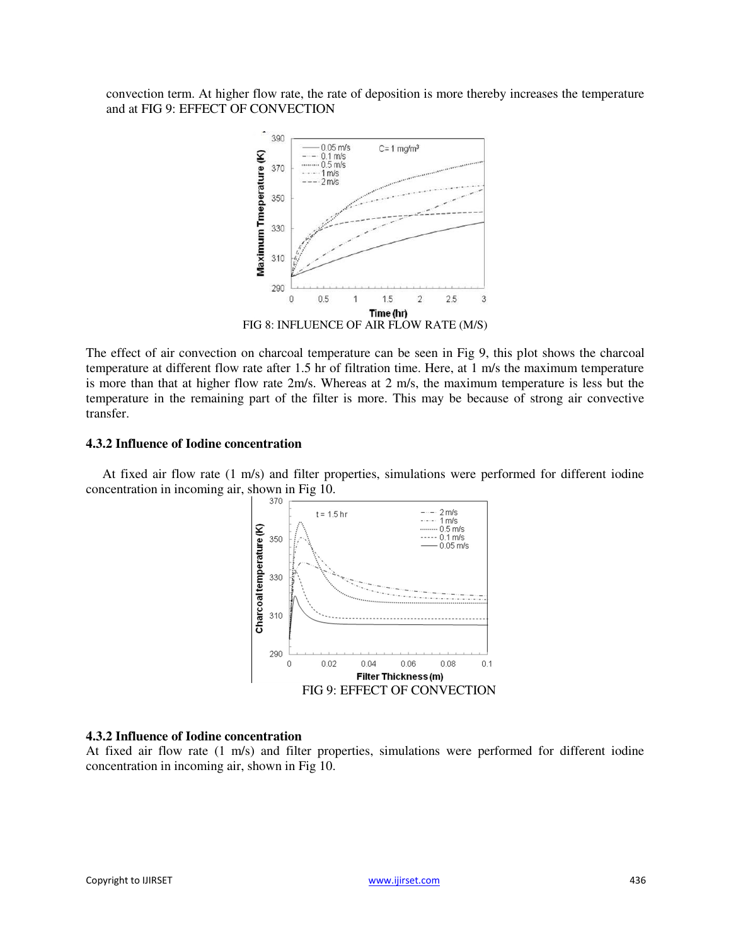convection term. At higher flow rate, the rate of deposition is more thereby increases the temperature and at FIG 9: EFFECT OF CONVECTION



The effect of air convection on charcoal temperature can be seen in Fig 9, this plot shows the charcoal temperature at different flow rate after 1.5 hr of filtration time. Here, at 1 m/s the maximum temperature is more than that at higher flow rate 2m/s. Whereas at 2 m/s, the maximum temperature is less but the temperature in the remaining part of the filter is more. This may be because of strong air convective transfer.

# **4.3.2 Influence of Iodine concentration**

At fixed air flow rate (1 m/s) and filter properties, simulations were performed for different iodine concentration in incoming air, shown in Fig 10.



# **4.3.2 Influence of Iodine concentration**

At fixed air flow rate (1 m/s) and filter properties, simulations were performed for different iodine concentration in incoming air, shown in Fig 10.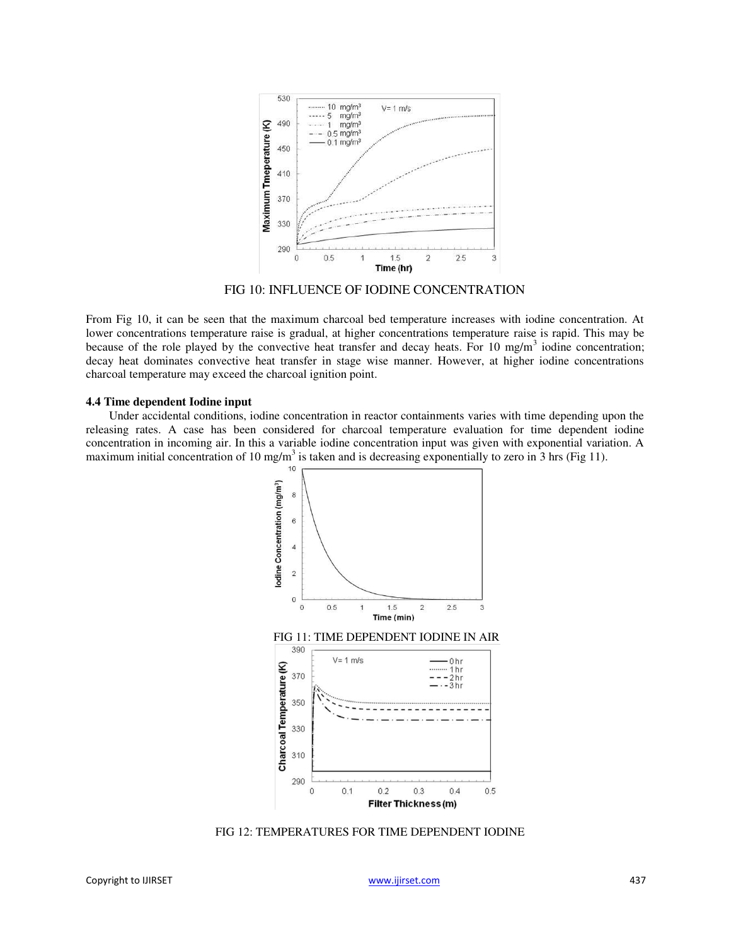

FIG 10: INFLUENCE OF IODINE CONCENTRATION

From Fig 10, it can be seen that the maximum charcoal bed temperature increases with iodine concentration. At lower concentrations temperature raise is gradual, at higher concentrations temperature raise is rapid. This may be because of the role played by the convective heat transfer and decay heats. For 10 mg/m<sup>3</sup> iodine concentration; decay heat dominates convective heat transfer in stage wise manner. However, at higher iodine concentrations charcoal temperature may exceed the charcoal ignition point.

# **4.4 Time dependent Iodine input**

Under accidental conditions, iodine concentration in reactor containments varies with time depending upon the releasing rates. A case has been considered for charcoal temperature evaluation for time dependent iodine concentration in incoming air. In this a variable iodine concentration input was given with exponential variation. A maximum initial concentration of 10 mg/m<sup>3</sup> is taken and is decreasing exponentially to zero in 3 hrs (Fig 11).



FIG 12: TEMPERATURES FOR TIME DEPENDENT IODINE